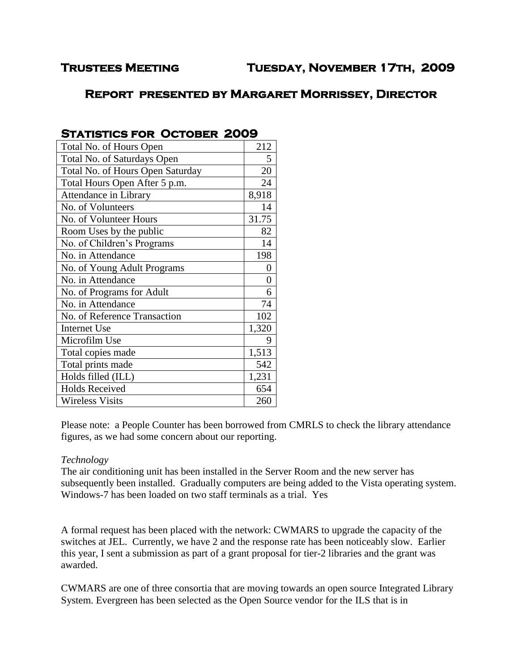# **Trustees Meeting Tuesday, November 17th, 2009**

# **Report presented by Margaret Morrissey, Director**

| Total No. of Hours Open          | 212            |
|----------------------------------|----------------|
| Total No. of Saturdays Open      | 5              |
| Total No. of Hours Open Saturday | 20             |
| Total Hours Open After 5 p.m.    | 24             |
| Attendance in Library            | 8,918          |
| No. of Volunteers                | 14             |
| No. of Volunteer Hours           | 31.75          |
| Room Uses by the public          | 82             |
| No. of Children's Programs       | 14             |
| No. in Attendance                | 198            |
| No. of Young Adult Programs      | $\overline{0}$ |
| No. in Attendance                | $\overline{0}$ |
| No. of Programs for Adult        | 6              |
| No. in Attendance                | 74             |
| No. of Reference Transaction     | 102            |
| <b>Internet Use</b>              | 1,320          |
| Microfilm Use                    | 9              |
| Total copies made                | 1,513          |
| Total prints made                | 542            |
| Holds filled (ILL)               | 1,231          |
| <b>Holds Received</b>            | 654            |
| <b>Wireless Visits</b>           | 260            |
|                                  |                |

## **STATISTICS FOR OCTOBER 2009**

Please note: a People Counter has been borrowed from CMRLS to check the library attendance figures, as we had some concern about our reporting.

## *Technology*

The air conditioning unit has been installed in the Server Room and the new server has subsequently been installed. Gradually computers are being added to the Vista operating system. Windows-7 has been loaded on two staff terminals as a trial. Yes

A formal request has been placed with the network: CWMARS to upgrade the capacity of the switches at JEL. Currently, we have 2 and the response rate has been noticeably slow. Earlier this year, I sent a submission as part of a grant proposal for tier-2 libraries and the grant was awarded.

CWMARS are one of three consortia that are moving towards an open source Integrated Library System. Evergreen has been selected as the Open Source vendor for the ILS that is in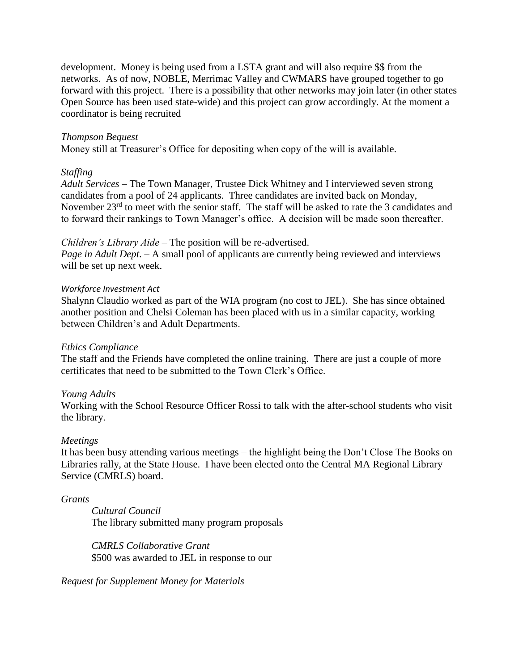development. Money is being used from a LSTA grant and will also require \$\$ from the networks. As of now, NOBLE, Merrimac Valley and CWMARS have grouped together to go forward with this project. There is a possibility that other networks may join later (in other states Open Source has been used state-wide) and this project can grow accordingly. At the moment a coordinator is being recruited

#### *Thompson Bequest*

Money still at Treasurer's Office for depositing when copy of the will is available.

#### *Staffing*

*Adult Services* – The Town Manager, Trustee Dick Whitney and I interviewed seven strong candidates from a pool of 24 applicants. Three candidates are invited back on Monday, November 23<sup>rd</sup> to meet with the senior staff. The staff will be asked to rate the 3 candidates and to forward their rankings to Town Manager's office. A decision will be made soon thereafter.

#### *Children's Library Aide* – The position will be re-advertised.

*Page in Adult Dept*. – A small pool of applicants are currently being reviewed and interviews will be set up next week.

#### *Workforce Investment Act*

Shalynn Claudio worked as part of the WIA program (no cost to JEL). She has since obtained another position and Chelsi Coleman has been placed with us in a similar capacity, working between Children's and Adult Departments.

## *Ethics Compliance*

The staff and the Friends have completed the online training. There are just a couple of more certificates that need to be submitted to the Town Clerk's Office.

## *Young Adults*

Working with the School Resource Officer Rossi to talk with the after-school students who visit the library.

## *Meetings*

It has been busy attending various meetings – the highlight being the Don't Close The Books on Libraries rally, at the State House. I have been elected onto the Central MA Regional Library Service (CMRLS) board.

#### *Grants*

*Cultural Council*  The library submitted many program proposals

*CMRLS Collaborative Grant* \$500 was awarded to JEL in response to our

*Request for Supplement Money for Materials*